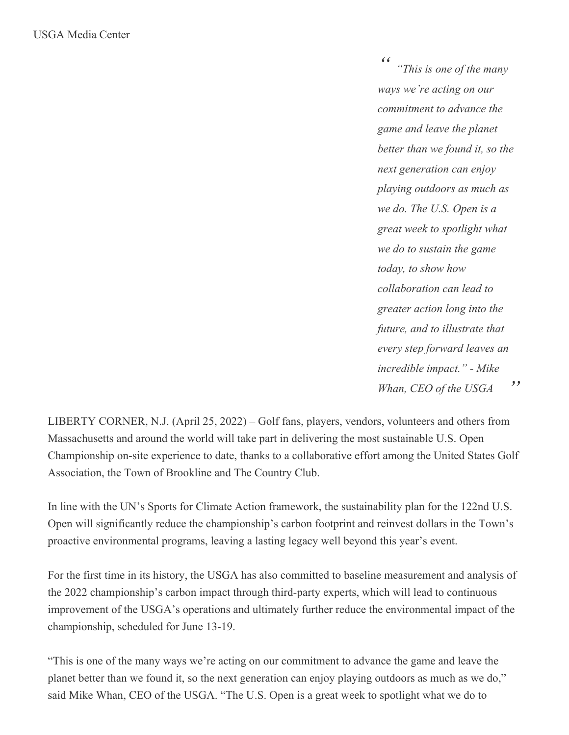*" " "This is one of the many ways we're acting on our commitment to advance the game and leave the planet better than we found it, so the next generation can enjoy playing outdoors as much as we do. The U.S. Open is a great week to spotlight what we do to sustain the game today, to show how collaboration can lead to greater action long into the future, and to illustrate that every step forward leaves an incredible impact." - Mike Whan, CEO of the USGA*

LIBERTY CORNER, N.J. (April 25, 2022) – Golf fans, players, vendors, volunteers and others from Massachusetts and around the world will take part in delivering the most sustainable U.S. Open Championship on-site experience to date, thanks to a collaborative effort among the United States Golf Association, the Town of Brookline and The Country Club.

In line with the UN's Sports for Climate Action framework, the sustainability plan for the 122nd U.S. Open will significantly reduce the championship's carbon footprint and reinvest dollars in the Town's proactive environmental programs, leaving a lasting legacy well beyond this year's event.

For the first time in its history, the USGA has also committed to baseline measurement and analysis of the 2022 championship's carbon impact through third-party experts, which will lead to continuous improvement of the USGA's operations and ultimately further reduce the environmental impact of the championship, scheduled for June 13-19.

"This is one of the many ways we're acting on our commitment to advance the game and leave the planet better than we found it, so the next generation can enjoy playing outdoors as much as we do," said Mike Whan, CEO of the USGA. "The U.S. Open is a great week to spotlight what we do to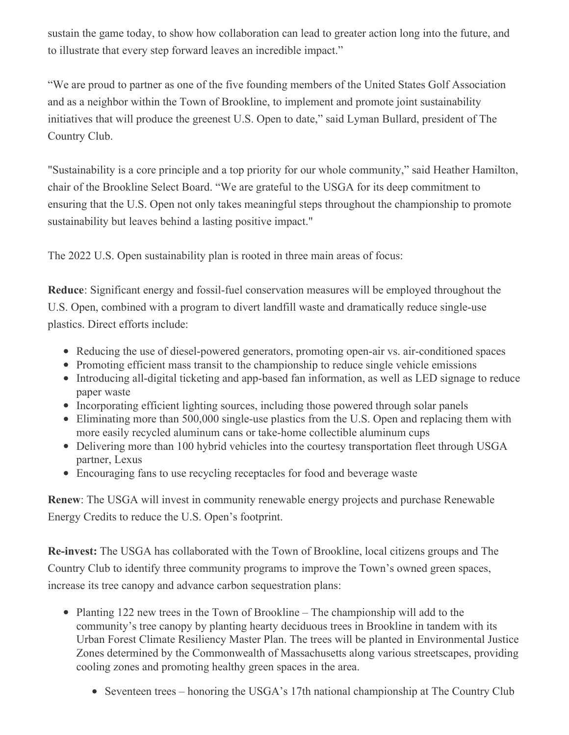sustain the game today, to show how collaboration can lead to greater action long into the future, and to illustrate that every step forward leaves an incredible impact."

"We are proud to partner as one of the five founding members of the United States Golf Association and as a neighbor within the Town of Brookline, to implement and promote joint sustainability initiatives that will produce the greenest U.S. Open to date," said Lyman Bullard, president of The Country Club.

"Sustainability is a core principle and a top priority for our whole community," said Heather Hamilton, chair of the Brookline Select Board. "We are grateful to the USGA for its deep commitment to ensuring that the U.S. Open not only takes meaningful steps throughout the championship to promote sustainability but leaves behind a lasting positive impact."

The 2022 U.S. Open sustainability plan is rooted in three main areas of focus:

**Reduce**: Significant energy and fossil-fuel conservation measures will be employed throughout the U.S. Open, combined with a program to divert landfill waste and dramatically reduce single-use plastics. Direct efforts include:

- Reducing the use of diesel-powered generators, promoting open-air vs. air-conditioned spaces
- Promoting efficient mass transit to the championship to reduce single vehicle emissions
- Introducing all-digital ticketing and app-based fan information, as well as LED signage to reduce paper waste
- Incorporating efficient lighting sources, including those powered through solar panels
- Eliminating more than 500,000 single-use plastics from the U.S. Open and replacing them with more easily recycled aluminum cans or take-home collectible aluminum cups
- Delivering more than 100 hybrid vehicles into the courtesy transportation fleet through USGA partner, Lexus
- Encouraging fans to use recycling receptacles for food and beverage waste

**Renew**: The USGA will invest in community renewable energy projects and purchase Renewable Energy Credits to reduce the U.S. Open's footprint.

**Re-invest:** The USGA has collaborated with the Town of Brookline, local citizens groups and The Country Club to identify three community programs to improve the Town's owned green spaces, increase its tree canopy and advance carbon sequestration plans:

- Planting 122 new trees in the Town of Brookline The championship will add to the community's tree canopy by planting hearty deciduous trees in Brookline in tandem with its Urban Forest Climate Resiliency Master Plan. The trees will be planted in Environmental Justice Zones determined by the Commonwealth of Massachusetts along various streetscapes, providing cooling zones and promoting healthy green spaces in the area.
	- Seventeen trees honoring the USGA's 17th national championship at The Country Club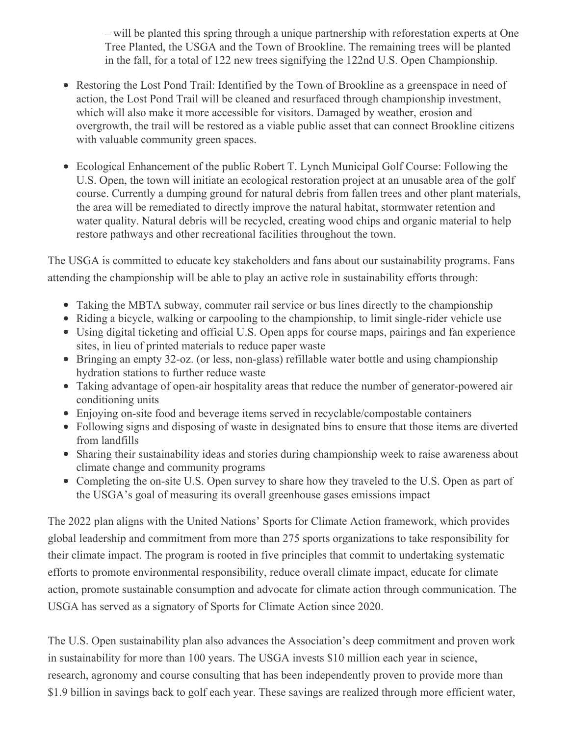– will be planted this spring through a unique partnership with reforestation experts at One Tree Planted, the USGA and the Town of Brookline. The remaining trees will be planted in the fall, for a total of 122 new trees signifying the 122nd U.S. Open Championship.

- Restoring the Lost Pond Trail: Identified by the Town of Brookline as a greenspace in need of action, the Lost Pond Trail will be cleaned and resurfaced through championship investment, which will also make it more accessible for visitors. Damaged by weather, erosion and overgrowth, the trail will be restored as a viable public asset that can connect Brookline citizens with valuable community green spaces.
- Ecological Enhancement of the public Robert T. Lynch Municipal Golf Course: Following the U.S. Open, the town will initiate an ecological restoration project at an unusable area of the golf course. Currently a dumping ground for natural debris from fallen trees and other plant materials, the area will be remediated to directly improve the natural habitat, stormwater retention and water quality. Natural debris will be recycled, creating wood chips and organic material to help restore pathways and other recreational facilities throughout the town.

The USGA is committed to educate key stakeholders and fans about our sustainability programs. Fans attending the championship will be able to play an active role in sustainability efforts through:

- Taking the MBTA subway, commuter rail service or bus lines directly to the championship
- Riding a bicycle, walking or carpooling to the championship, to limit single-rider vehicle use
- Using digital ticketing and official U.S. Open apps for course maps, pairings and fan experience sites, in lieu of printed materials to reduce paper waste
- Bringing an empty 32-oz. (or less, non-glass) refillable water bottle and using championship hydration stations to further reduce waste
- Taking advantage of open-air hospitality areas that reduce the number of generator-powered air conditioning units
- Enjoying on-site food and beverage items served in recyclable/compostable containers
- Following signs and disposing of waste in designated bins to ensure that those items are diverted from landfills
- Sharing their sustainability ideas and stories during championship week to raise awareness about climate change and community programs
- Completing the on-site U.S. Open survey to share how they traveled to the U.S. Open as part of the USGA's goal of measuring its overall greenhouse gases emissions impact

The 2022 plan aligns with the United Nations' Sports for Climate Action framework, which provides global leadership and commitment from more than 275 sports organizations to take responsibility for their climate impact. The program is rooted in five principles that commit to undertaking systematic efforts to promote environmental responsibility, reduce overall climate impact, educate for climate action, promote sustainable consumption and advocate for climate action through communication. The USGA has served as a signatory of Sports for Climate Action since 2020.

The U.S. Open sustainability plan also advances the Association's deep commitment and proven work in sustainability for more than 100 years. The USGA invests \$10 million each year in science, research, agronomy and course consulting that has been independently proven to provide more than \$1.9 billion in savings back to golf each year. These savings are realized through more efficient water,